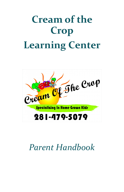# **Cream of the Crop Learning Center**



## *Parent Handbook*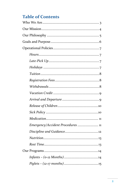## **Table of Contents**

| Emergency/Accident Procedures  11 |  |
|-----------------------------------|--|
|                                   |  |
|                                   |  |
|                                   |  |
|                                   |  |
|                                   |  |
|                                   |  |
|                                   |  |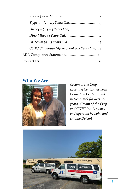| COTC Clubhouse (Afterschool 5-12 Years Old)18 |  |
|-----------------------------------------------|--|
|                                               |  |
|                                               |  |

#### **Who We Are**



*Cream of the Crop Learning Center has been located on Center Street in Deer Park for over 20 years. Cream of the Crop and COTC Inc. is owned and operated by Lobo and Dianne Del Sol.*

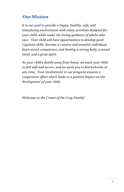## **Our Mission**

*It is our goal to provide a happy, healthy, safe, and stimulating environment with many activities designed for your child, while under the loving guidance of adults who care. Your child will have opportunities to develop good cognitive skills, become a creative and sensitive individual, learn social competence, and develop a strong body, a sound mind, and a great spirit.*

*As your child's family away from home, we want your child to feel safe and secure, and we want you to feel welcome at any time. Your involvement in our program ensures a cooperative effort which leads to a positive impact on the development of your child.*

*Welcome to the Cream of the Crop Family!*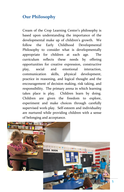## **Our Philosophy**

Cream of the Crop Learning Center's philosophy is based upon understanding the importance of the developmental make up of children's growth. We follow the Early Childhood Developmental Philosophy to consider what is developmentally appropriate for children at each age. The curriculum reflects these needs by offering opportunities for creative expression, constructive play, social and emotional interaction, communication skills, physical development, practice in reasoning, and logical thought and the encouragement of decision making, risk taking, and responsibility. The primary arena in which learning takes place is play. Children learn by doing. Children are given the freedom to explore, experiment and make choices through carefully supervised work-play. Self-esteem and individuality are nurtured while providing children with a sense of belonging and acceptance.

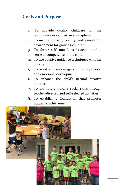## **Goals and Purpose**

- 1. To provide quality childcare for the community in a Christian atmosphere.
- 2. To maintain a safe, healthy, and stimulating environment for growing children.
- 3. To foster self-control, self-esteem, and a sense of competence in the child.
- 4. To use positive guidance techniques with the children.
- 5. To assist and encourage children's physical and emotional development.
- 6. To enhance the child's natural creative abilities.
- 7. To promote children's social skills through teacher-directed and self-selected activities.
- 8. To establish a foundation that promotes academic achievement.

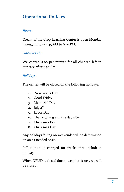## **Operational Policies**

#### *Hours*

Cream of the Crop Learning Center is open Monday through Friday 5:45 AM to 6:30 PM.

#### *Late-Pick Up*

We charge \$1.00 per minute for all children left in our care after 6:30 PM.

#### *Holidays*

The center will be closed on the following holidays:

- 1. New Year's Day
- 2. Good Friday
- 3. Memorial Day
- 4. July  $4^{th}$
- 5. Labor Day
- 6. Thanksgiving and the day after
- 7. Christmas Eve
- 8. Christmas Day

Any holidays falling on weekends will be determined on an as-needed basis.

Full tuition is charged for weeks that include a holiday

When DPISD is closed due to weather issues, we will be closed.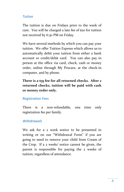#### *Tuition*

The tuition is due on Fridays prior to the week of care. You will be charged a late fee of \$20 for tuition not received by 6:30 PM on Friday.

We have several methods by which you can pay your tuition. We offer Tuition Express which allows us to automatically debit your tuition from either a bank account or credit/debit card. You can also pay in person at the office via card, check, cash or money order, online through My Procare, at the check-in computer, and by phone.

**There is a \$35 fee for all returned checks. After 2 returned checks, tuition will be paid with cash or money order only.**

#### *Registration Fees*

There is a non-refundable, one time only registration fee per family.

#### *Withdrawals*

We ask for a 2 week notice to be presented in writing or on our "Withdrawal Form" if you are going to need to remove your child from Cream of the Crop. If a 2 weeks' notice cannot be given, the parent is responsible for paying the 2 weeks of tuition, regardless of attendance.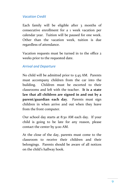#### *Vacation Credit*

Each family will be eligible after 3 months of consecutive enrollment for a 1 week vacation per calendar year. Tuition will be paused for one week. Other than the vacation week, tuition is due regardless of attendance.

Vacation requests must be turned in to the office 2 weeks prior to the requested date.

#### *Arrival and Departure*

No child will be admitted prior to 5:45 AM. Parents must accompany children from the car into the building. Children must be escorted to their classrooms and left with the teacher. **It is a state law that all children are signed in and out by a parent/guardian each day**. Parents must sign children in when arrive and out when they leave from the front computer.

Our school day starts at 8:30 AM each day. If your child is going to be late for any reason, please contact the center by 9:00 AM.

At the close of the day, parents must come to the classroom to receive their children and their belongings. Parents should be aware of all notices on the child's hallway hook.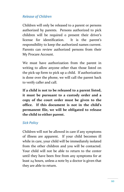#### *Release of Children*

Children will only be released to a parent or persons authorized by parents. Persons authorized to pick children will be required o present their driver's license for identification. It is the parent's responsibility to keep the authorized names current. Parents can review authorized persons from their My Procare Account.

We must have authorization from the parent in writing to allow anyone other than those listed on the pick-up form to pick up a child. If authorization is done over the phone, we will call the parent back to verify caller and call.

**If a child is not to be released to a parent listed, it must be pursuant to a custody order and a copy of the court order must be given to the office. If this document is not in the child's permanent file, we will be obligated to release the child to either parent.**

#### *Sick Policy*

Children will not be allowed in care if any symptoms of illness are apparent. If your child becomes ill while in care, your child will be immediately isolated from the other children and you will be contacted. Your child will not be able to return to the center until they have been free from any symptoms for at least 24 hours, unless a note by a doctor is given that they are able to return.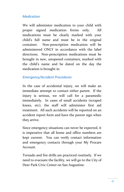#### *Medication*

We will administer medication to your child with proper signed medication forms only. All medications must be clearly marked with your child's full name and must be in the original container. Non-prescription medication will be administered ONLY in accordance with the label directions. Non-prescription medications must be brought in new, unopened containers, marked with the child's name and be dated on the day the medication is brought in.

#### *Emergency/Accident Procedures*

In the case of accidental injury, we will make an immediate attempt to contact either parent. If the injury is serious, we will call for a paramedic immediately. In cases of small accidents (scraped knees, etc), the staff will administer first aid treatment. All such accidents will be reported on an accident report form and have the parent sign when they arrive.

Since emergency situations can never be expected, it is imperative that all home and office numbers are kept current. You can verify contact information and emergency contacts through your My Procare Account.

Tornado and fire drills are practiced routinely. If we need to evacuate the facility, we will go to the City of Deer Park Civic Center on San Augustine.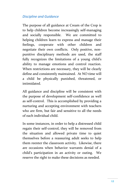#### *Discipline and Guidance*

The purpose of all guidance at Cream of the Crop is to help children become increasingly self-managing and socially responsible. We are committed to helping children learn to express and manage their feelings, cooperate with other children and negotiate their own conflicts. Only positive, nonpunitive disciplinary methods are used, the staff fully recognizes the limitations of a young child's ability to manage emotions and control reaction. When restrictions are necessary, they will be clearly define and consistently maintained. At NO time will a child be physically punished, threatened, or intimidated.

All guidance and discipline will be consistent with the purpose of development self-confidence as well as self-control. This is accomplished by providing a nurturing and accepting environment with teachers who are firm, but fair and sensitive to all the needs of each individual child.

In some instances, in order to help a distressed child regain their self-control, they will be removed from the situation and allowed private time to quiet themselves before a reassuring adult seeks to help them reenter the classroom activity. Likewise, there are occasions when behavior warrants denial of a child's participation in an activity or outing. We reserve the right to make these decisions as needed.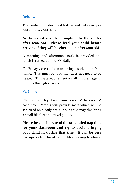#### *Nutrition*

The center provides breakfast, served between 5:45 AM and 8:00 AM daily.

**No breakfast may be brought into the center after 8:00 AM. Please feed your child before arriving if they will be checked in after 8:00 AM.**

A morning and afternoon snack is provided and lunch is served at 11:00 AM daily

On Fridays, each child must bring a sack lunch from home. This must be food that does not need to be heated. This is a requirement for all children ages 12 months through 12 years.

#### *Rest Time*

Children will lay down from 12:00 PM to 2:00 PM each day. Parents will provide mats which will be sanitized on a daily basis. Your child may also bring a small blanket and travel pillow.

**Please be considerate of the scheduled nap time for your classroom and try to avoid bringing your child in during that tine. It can be very disruptive for the other children trying to sleep.**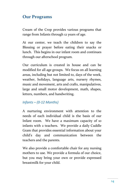## **Our Programs**

Cream of the Crop provides various programs that range from Infants through 12 years of age.

At our center, we teach the children to say the Blessing or prayer before eating their snacks or lunch. This begins in our infant room and continues through our afterschool program.

Our curriculum is created in house and can be modified for all age groups. We focus on all learning areas, including but not limited to, days of the week, weather, holidays, language arts, nursery rhymes, music and movement, arts and crafts, manipulatives, large and small motor development, math, shapes, letters, numbers, and handwriting.

#### *Infants – (0-12 Months)*

A nurturing environment with attention to the needs of each individual child is the basis of our Infant room. We have a maximum capacity of 10 infants with 2 teachers. We provide a daily Cuddle Gram that provides essential information about your child's day and communication between the teachers and the parents.

We also provide a comfortable chair for any nursing mothers to use. We provide a formula of our choice, but you may bring your own or provide expressed breastmilk for your child.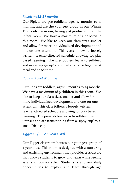#### *Piglets – (12-17 months)*

Our Piglets are pre-toddlers, ages 12 months to 17 months, and are the youngest group in our Winnie The Pooh classroom, having just graduated from the infant room. We have a maximum of 5 children in this room. We like to keep our class sizes smaller and allow for more individualized development and one-on-one attention. This class follows a loosely written, teacher-directed schedule allowing for play based learning. The pre-toddlers learn to self-feed and use a 'sippy-cup' and to sit at a table together at meal and snack time.

#### *Roos – (18-24 Months)*

Our Roos are toddlers, ages 18 months to 24 months. We have a maximum of 9 children in this room. We like to keep our class sizes smaller and allow for more individualized development and one-on-one attention. This class follows a loosely written, teacher-directed schedule allowing for play based learning. The pre-toddlers learn to self-feed using utensils and are transitioning from a 'sippy-cup' to a small Dixie cup.

#### *Tiggers – (2 – 2.5 Years Old)*

Our Tigger classroom houses our youngest group of 2 year olds. This room is designed with a nurturing and enriching environment that provides a structure that allows students to grow and learn while feeling safe and comfortable. Students are given daily opportunities to explore and learn through age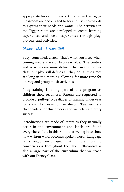appropriate toys and projects. Children in the Tigger Classroom are encouraged to try and use their words to express their needs and wants. The activities in the Tigger room are developed to create learning experiences and social experiences through play, projects, and activities.

#### *Disney – (2.5 – 3 Years Old)*

Busy, controlled, chaos. That's what you'll see when coming into a class of two year olds. The centers and activities are more defined than in the toddler class, but play still defines all they do. Circle times are long in the morning allowing for more time for literacy and group music activities.

Potty-training is a big part of this program as children show readiness. Parents are requested to provide a 'pull-up' type diaper or training underwear to allow for ease of self-help. Teachers are cheerleaders for this process and we celebrate every success!

Introductions are made of letters as they naturally occur in the environment and labels are found everywhere. It is in this room that we begin to show how written word becomes spoken word. Language is strongly encouraged with more running conversations throughout the day. Self-control is also a large part of the curriculum that we teach with our Disney Class.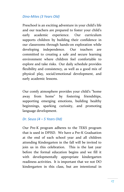#### *Dino-Mites (3 Years Old)*

Preschool is an exciting adventure in your child's life and our teachers are prepared to foster your child's early academic experience. Our curriculum supports children by building their confidence in our classrooms through hands-on exploration while developing independence. Our teachers are committed to creating a safe and secure learning environment where children feel comfortable to explore and take risks. Our daily schedule provides flexibility and consistency, as well as a good mix of physical play, social/emotional development, and early academic lessons.

Our comfy atmosphere provides your child's "home away from home" by fostering friendships, supporting emerging emotions, building healthy beginnings, sparking curiosity, and promoting language development.

#### *Dr. Seuss (4 – 5 Years Old)*

Our Pre-K program adheres to the TEKS program that is used in DPISD. We have a Pre-K Graduation at the end of each school year and all children attending Kindergarten in the fall will be invited to join us in this celebration. This is the last year before the formal education begins and we fill it with developmentally appropriate kindergarten readiness activities. It is important that we not DO kindergarten in this class, but are intentional in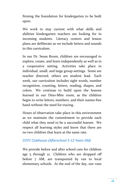firming the foundation for kindergarten to be built upon.

We work to stay current with what skills and abilities kindergarten teachers are looking for in incoming students. Literacy centers and lesson plans are deliberate as we include letters and sounds in this curriculum.

In our Dr. Seuss Room, children are encouraged to explore, create, and learn independently as well as in a cooperative setting. Activities take place in individual, small, and large group settings. Some are teacher directed, others are student lead. Each week, our curriculum includes sight words, number recognition, counting, letters, reading, shapes, and colors. We continue to build upon the lessons learned in our Dino-Mite room, as the children begin to write letters, numbers, and their names free hand without the need for tracing.

Hours of observation take place in this environment as we maintain the commitment to provide each child what they need to be a successful learner. We respect all learning styles and know that there are no two children that learn at the same rate.

#### *COTC Clubhouse (Afterschool 5-12 Years Old)*

We provide before and after school care for children age 5 through 12. Children who are dropped off before 7 AM, are transported by van to local elementary schools. At the end of the day, our vans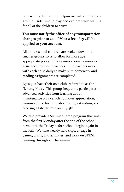return to pick them up. Upon arrival, children are given outside time to play and explore while waiting for all of the children to arrive.

#### **You must notify the office of any transportation changes prior to 2:00 PM or a fee of \$5 will be applied to your account.**

All of our school children are broken down into smaller groups so as to allow for more age appropriate play and more one-on-one homework assistance from our teachers. Our teachers work with each child daily to make sure homework and reading assignments are completed.

Ages 9-12 have their own club, referred to as the "Liberty Kids". This group frequently participates in advanced activities from learning about maintenance on a vehicle to movie appreciation, various sports, learning about our great nation, and erecting a Liberty Pole on July 4th.

We also provide a Summer Camp program that runs from the first Monday after the end of the school term until the Friday before school begins again in the Fall. We take weekly field trips, engage in games, crafts, and activities, and work on STEM learning throughout the summer.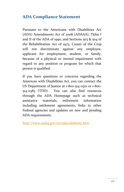## **ADA Compliance Statement**

Pursuant to the Americans with Disabilities Act (ADA) Amendments Act of 2008 (ADAAA), Titles I and II of the ADA of 1990, and Sections 503 & 504 of the Rehabilitation Act of 1973, Cream of the Crop will not discriminate against any employee, applicant for employment, student, or family, because of a physical or mental impairment with regard to any position or program for which that person is qualified.

If you have questions or concerns regarding the American with Disabilities Act, you can contact the US Department of Justice at 1-800-514-0301 or 1-800- 514-0383 (TDD). You can also find resources through the ADA Homepage such as technical assistance materials, enforment information including settlement agreements, links to other Fedreal agencies and updates on new and pending ADA requirements:

<http://www.usdoj.gov/crt/ada/adahom1.htm>